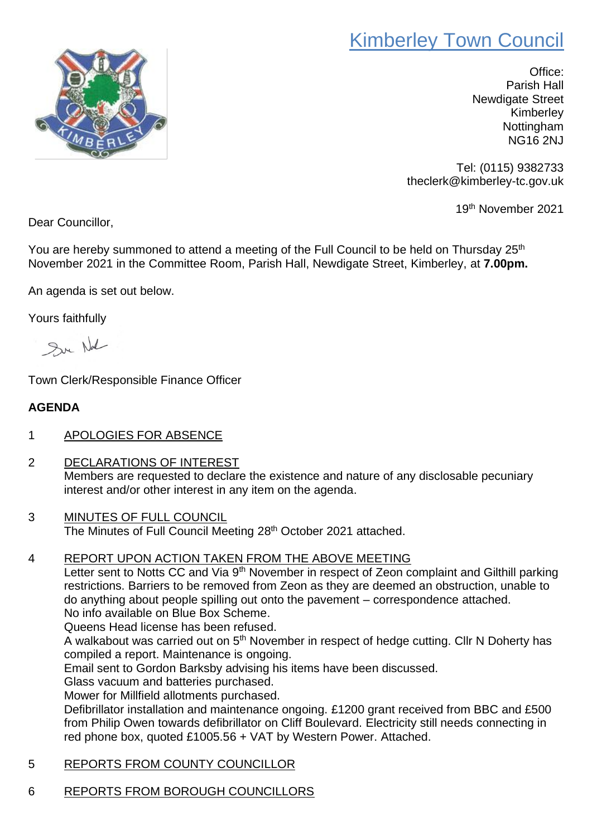## Kimberley Town Council



Office: Parish Hall Newdigate Street Kimberley Nottingham NG16 2NJ

Tel: (0115) 9382733 theclerk@kimberley-tc.gov.uk

19th November 2021

Dear Councillor,

You are hereby summoned to attend a meeting of the Full Council to be held on Thursday 25<sup>th</sup> November 2021 in the Committee Room, Parish Hall, Newdigate Street, Kimberley, at **7.00pm.**

An agenda is set out below.

Yours faithfully

Sur Nal

Town Clerk/Responsible Finance Officer

## **AGENDA**

- 1 APOLOGIES FOR ABSENCE
- 2 DECLARATIONS OF INTEREST Members are requested to declare the existence and nature of any disclosable pecuniary interest and/or other interest in any item on the agenda.
- 3 MINUTES OF FULL COUNCIL The Minutes of Full Council Meeting 28<sup>th</sup> October 2021 attached.
- 4 REPORT UPON ACTION TAKEN FROM THE ABOVE MEETING

Letter sent to Notts CC and Via 9<sup>th</sup> November in respect of Zeon complaint and Gilthill parking restrictions. Barriers to be removed from Zeon as they are deemed an obstruction, unable to do anything about people spilling out onto the pavement – correspondence attached. No info available on Blue Box Scheme.

Queens Head license has been refused.

A walkabout was carried out on 5<sup>th</sup> November in respect of hedge cutting. Cllr N Doherty has compiled a report. Maintenance is ongoing.

Email sent to Gordon Barksby advising his items have been discussed.

Glass vacuum and batteries purchased.

Mower for Millfield allotments purchased.

Defibrillator installation and maintenance ongoing. £1200 grant received from BBC and £500 from Philip Owen towards defibrillator on Cliff Boulevard. Electricity still needs connecting in red phone box, quoted £1005.56 + VAT by Western Power. Attached.

- 5 REPORTS FROM COUNTY COUNCILLOR
- 6 REPORTS FROM BOROUGH COUNCILLORS